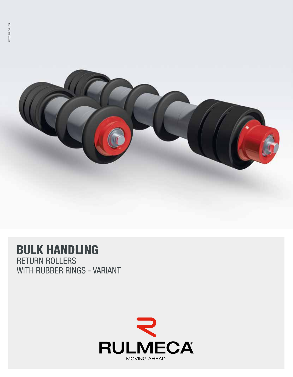

# BULK HANDLING

RETURN ROLLERS WITH RUBBER RINGS - VARIANT

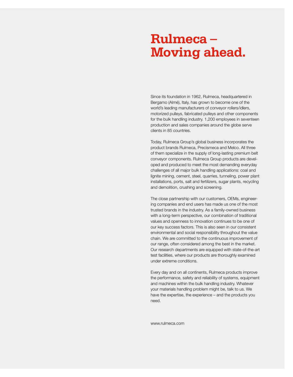# **Rulmeca – Moving ahead.**

Since its foundation in 1962, Rulmeca, headquartered in Bergamo (Almé), Italy, has grown to become one of the world's leading manufacturers of conveyor rollers/idlers, motorized pulleys, fabricated pulleys and other components for the bulk handling industry. 1,200 employees in seventeen production and sales companies around the globe serve clients in 85 countries.

Today, Rulmeca Group's global business incorporates the product brands Rulmeca, Precismeca and Melco. All three of them specialize in the supply of long-lasting premium belt conveyor components. Rulmeca Group products are developed and produced to meet the most demanding everyday challenges of all major bulk handling applications: coal and lignite mining, cement, steel, quarries, tunneling, power plant installations, ports, salt and fertilizers, sugar plants, recycling and demolition, crushing and screening.

The close partnership with our customers, OEMs, engineering companies and end users has made us one of the most trusted brands in the industry. As a family-owned business with a long-term perspective, our combination of traditional values and openness to innovation continues to be one of our key success factors. This is also seen in our consistent environmental and social responsibility throughout the value chain. We are committed to the continuous improvement of our range, often considered among the best in the market. Our research departments are equipped with state-of-the-art test facilities, where our products are thoroughly examined under extreme conditions.

Every day and on all continents, Rulmeca products improve the performance, safety and reliability of systems, equipment and machines within the bulk handling industry. Whatever your materials handling problem might be, talk to us. We have the expertise, the experience – and the products you need.

www.rulmeca.com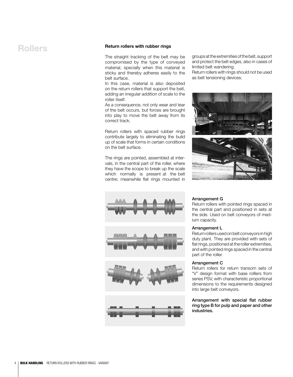### Rollers Return rollers with rubber rings

The straight tracking of the belt may be compromised by the type of conveyed material, specially when this material is sticky and thereby adheres easily to the belt surface.

In this case, material is also deposited on the return rollers that support the belt, adding an irregular addition of scale to the roller itself.

As a consequence, not only wear and tear of the belt occurs, but forces are brought into play to move the belt away from its correct track.

Return rollers with spaced rubber rings contribute largely to eliminating the build up of scale that forms in certain conditions on the belt surface.

The rings are pointed, assembled at intervals, in the central part of the roller, where they have the scope to break up the scale which normally is present at the belt centre; meanwhile flat rings mounted in groups at the extremities of the belt, support and protect the belt edges, also in cases of limited belt wandering.

Return rollers with rings should not be used as belt tensioning devices.





### Arrangement G

Return rollers with pointed rings spaced in the central part and positioned in sets at the side. Used on belt conveyors of medium capacity.

### Arrangement L

Return rollers used on belt conveyors in high duty plant. They are provided with sets of flat rings, positioned at the roller extremities, and with pointed rings spaced in the central part of the roller.

### Arrangement C

Return rollers for return transom sets of "V" design format with base rolllers from series PSV, with characteristic proportional dimensions to the requirements designed into large belt conveyors.

Arrangement with special flat rubber ring type B for pulp and paper and other industries.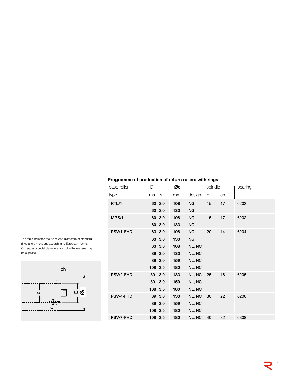### Programme of production of return rollers with rings

| base roller | D         | Øe  |           | spindle |     | bearing |
|-------------|-----------|-----|-----------|---------|-----|---------|
| type        | mm s      | mm  | design    | d       | ch. |         |
| RTL/1       | 60 2.0    | 108 | NG        | 15      | 17  | 6202    |
|             | 60 2.0    | 133 | <b>NG</b> |         |     |         |
| MPS/1       | 60 3.0    | 108 | <b>NG</b> | 15      | 17  | 6202    |
|             | 60 3.0    | 133 | NG        |         |     |         |
| PSV/1-FHD   | 63 3.0    | 108 | NG        | 20      | 14  | 6204    |
|             | 63 3.0    | 133 | NG        |         |     |         |
|             | 63 3.0    | 108 | NL, NC    |         |     |         |
|             | 89 3.0    | 133 | NL, NC    |         |     |         |
|             | 89 3.0    | 159 | NL, NC    |         |     |         |
|             | 108 3.5   | 180 | NL, NC    |         |     |         |
| PSV/2-FHD   | 3.0<br>89 | 133 | NL, NC    | 25      | 18  | 6205    |
|             | 3.0<br>89 | 159 | NL, NC    |         |     |         |
|             | 108 3.5   | 180 | NL, NC    |         |     |         |
| PSV/4-FHD   | 89 3.0    | 133 | NL, NC    | 30      | 22  | 6206    |
|             | 89 3.0    | 159 | NL, NC    |         |     |         |
|             | 108 3.5   | 180 | NL, NC    |         |     |         |
| PSV/7-FHD   | 108 3.5   | 180 | NL, NC    | 40      | 32  | 6308    |

The table indicates the types and diameters of standard rings and dimensions according to European norms. On request special diameters and tube thicknesses may be supplied.

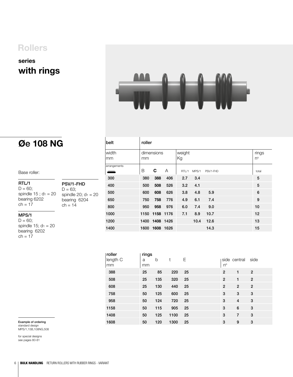### series with rings



# Øe 108 NG

RTL/1  $D = 60;$ spindle  $15$ ;  $d_1 = 20$ bearing 6202  $ch = 17$ 

PSV/1-FHD  $D = 63;$ 

spindle 20;  $d_1 = 20$ bearing 6204  $ch = 14$ 

#### MPS/1

 $D = 60;$ spindle 15;  $d_1 = 20$ bearing 6202  $ch = 17$ 

| belt         | roller |                |     |        |       |           |                |  |
|--------------|--------|----------------|-----|--------|-------|-----------|----------------|--|
| width        |        | dimensions     |     | weight |       |           | rings          |  |
| mm           | mm     |                |     | Кg     |       |           | $n^{\circ}$    |  |
| arrangements |        |                |     |        |       |           |                |  |
| ═            | B      | C              | A   | RTL/1  | MPS/1 | PSV/1-FHD | total          |  |
| 300          | 380    | 388            | 406 | 2.7    | 3.4   |           | 5              |  |
| 400          | 500    | 508            | 526 | 3.2    | 4.1   |           | 5              |  |
| 500          | 600    | 608            | 626 | 3.8    | 4.8   | 5.9       | $6\phantom{1}$ |  |
| 650          | 750    | 758            | 776 | 4.9    | 6.1   | 7.4       | 9              |  |
| 800          | 950    | 958            | 976 | 6.0    | 7.4   | 9.0       | 10             |  |
| 1000         |        | 1150 1158 1176 |     | 7.1    | 8.9   | 10.7      | 12             |  |
| 1200         |        | 1400 1408 1426 |     |        | 10.4  | 12.6      | 13             |  |
| 1400         |        | 1600 1608 1626 |     |        |       | 14.3      | 15             |  |

| roller<br>length C<br>mm | rings<br>a<br>mm | b   | t    | Е  | side central<br>$n^{\circ}$ |                | side           |
|--------------------------|------------------|-----|------|----|-----------------------------|----------------|----------------|
| 388                      | 25               | 85  | 220  | 25 | $\overline{2}$              | 1              | $\overline{2}$ |
| 508                      | 25               | 135 | 320  | 25 | $\overline{2}$              | 1              | $\overline{2}$ |
| 608                      | 25               | 130 | 440  | 25 | $\mathbf{2}$                | $\overline{2}$ | $\overline{2}$ |
| 758                      | 50               | 125 | 600  | 25 | 3                           | 3              | 3              |
| 958                      | 50               | 124 | 720  | 25 | 3                           | $\overline{4}$ | 3              |
| 1158                     | 50               | 115 | 905  | 25 | 3                           | 6              | 3              |
| 1408                     | 50               | 125 | 1100 | 25 | 3                           | $\overline{7}$ | 3              |
| 1608                     | 50               | 120 | 1300 | 25 | 3                           | 9              | 3              |

Example of ordering standard design MPS/1,15B,108NG,508

for special designs

see pages 80-81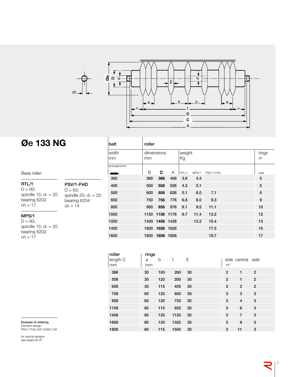

# Øe 133 NG

|                                    | width        |      | dimensions     |     | weight |      |                 | rings       |
|------------------------------------|--------------|------|----------------|-----|--------|------|-----------------|-------------|
|                                    | mm           | mm   |                |     | Kg     |      |                 | $n^{\circ}$ |
|                                    | arrangements |      |                |     |        |      |                 |             |
|                                    |              | B    | C              | A   | RTL/1  |      | MPS/1 PSV/1-FHD | total       |
|                                    | 300          | 380  | 388            | 406 | 3.8    | 4.4  |                 | 5           |
| PSV/1-FHD                          | 400          | 500  | 508            | 526 | 4.3    | 5.1  |                 | 5           |
| $D = 63$<br>spindle 20; $d_1 = 20$ | 500          | 600  | 608            | 626 | 5.1    | 6.0  | 7.1             | 6           |
| bearing 6204                       | 650          | 750  | 758            | 776 | 6.8    | 8.0  | 9.3             | 9           |
| $ch = 14$                          | 800          | 950  | 958            | 976 | 8.1    | 9.5  | 11.1            | 10          |
|                                    | 1000         |      | 1150 1158 1176 |     | 9.7    | 11.4 | 13.2            | 12          |
|                                    | 1200         |      | 1400 1408 1426 |     |        | 13.2 | 15.4            | 13          |
|                                    | 1400         | 1600 | 1608 1626      |     |        |      | 17.5            | 15          |
|                                    | 1600         | 1800 | 1808 1826      |     |        |      | 19.7            | 17          |

 $|$  roller

 $|$ belt

| roller         | rings   |     |      |    |                |                   |                |  |
|----------------|---------|-----|------|----|----------------|-------------------|----------------|--|
| length C<br>mm | a<br>mm | b   | t    | Ε  | $n^{\circ}$    | side central side |                |  |
| 388            | 30      | 100 | 260  | 30 | $\overline{2}$ | 1                 | $\overline{2}$ |  |
| 508            | 30      | 120 | 300  | 30 | $\overline{2}$ | $\mathbf{1}$      | $\overline{2}$ |  |
| 608            | 30      | 115 | 405  | 30 | $\overline{2}$ | $\overline{2}$    | $\overline{2}$ |  |
| 758            | 60      | 120 | 600  | 30 | 3              | 3                 | 3              |  |
| 958            | 60      | 120 | 720  | 30 | 3              | $\overline{4}$    | 3              |  |
| 1158           | 60      | 115 | 925  | 30 | 3              | 6                 | 3              |  |
| 1408           | 60      | 125 | 1120 | 30 | 3              | $\overline{7}$    | 3              |  |
| 1608           | 60      | 120 | 1320 | 30 | 3              | 9                 | 3              |  |
| 1808           | 60      | 115 | 1500 | 30 | 3              | 11                | 3              |  |

Base roller:

RTL/1  $D = 60;$ spindle 15;  $d_1 = 2$ bearing 6202 ch = 17

### MPS/1

 $D = 60$ ; spindle 15;  $d_1 = 20$ bearing 6202 ch = 17

# Example of ordering standard design PSV/1-FHD,20F,133NG,758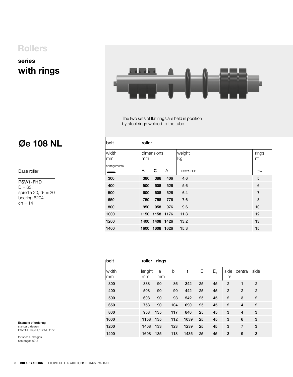### series with rings



The two sets of flat rings are held in position by steel rings welded to the tube

# Øe 108 NL

Base roller:

PSV/1-FHD  $D = 63;$ spindle 20;  $d_1 = 20$ bearing 6204  $ch = 14$ 

| belt              | roller |                |     |              |                      |
|-------------------|--------|----------------|-----|--------------|----------------------|
| width<br>mm       | mm     | dimensions     |     | weight<br>Kg | rings<br>$n^{\circ}$ |
| arrangements<br>━ | В      | C              | A   | PSV/1-FHD    | total                |
| 300               | 380    | 388            | 406 | 4.6          | 5                    |
| 400               | 500    | 508            | 526 | 5.6          | 6                    |
| 500               | 600    | 608            | 626 | 6.4          | $\overline{7}$       |
| 650               | 750    | 758            | 776 | 7.6          | 8                    |
| 800               | 950    | 958            | 976 | 9.6          | 10                   |
| 1000              |        | 1150 1158 1176 |     | 11.3         | 12                   |
| 1200              |        | 1400 1408 1426 |     | 13.2         | 13                   |
| 1400              | 1600   | 1608 1626      |     | 15.3         | 15                   |

| belt        | roller       | rings   |     |      |    |    |                     |                |                |
|-------------|--------------|---------|-----|------|----|----|---------------------|----------------|----------------|
| width<br>mm | lenght<br>mm | a<br>mm | b   | t    | Ε  | E, | side<br>$n^{\circ}$ | central        | side           |
| 300         | 388          | 90      | 86  | 342  | 25 | 45 | $\overline{2}$      | 1              | $\overline{2}$ |
| 400         | 508          | 90      | 90  | 442  | 25 | 45 | $\overline{2}$      | $\overline{2}$ | $\overline{2}$ |
| 500         | 608          | 90      | 93  | 542  | 25 | 45 | $\overline{2}$      | 3              | $\overline{2}$ |
| 650         | 758          | 90      | 104 | 690  | 25 | 45 | $\overline{2}$      | $\overline{4}$ | $\overline{2}$ |
| 800         | 958          | 135     | 117 | 840  | 25 | 45 | 3                   | 4              | 3              |
| 1000        | 1158         | 135     | 112 | 1039 | 25 | 45 | 3                   | 6              | 3              |
| 1200        | 1408         | 133     | 123 | 1239 | 25 | 45 | 3                   | $\overline{7}$ | 3              |
| 1400        | 1608         | 135     | 118 | 1435 | 25 | 45 | 3                   | 9              | 3              |

Example of ordering standard design PSV/1-FHD,20F,108NL,1158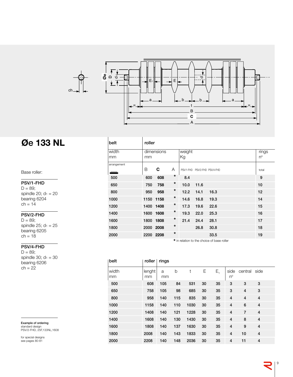

# Øe 133 NL

| belt        | roller    |            |          |        |      |                                            |             |
|-------------|-----------|------------|----------|--------|------|--------------------------------------------|-------------|
| width       |           | dimensions |          | weight |      |                                            | rings       |
| mm          | mm        |            |          | Kg     |      |                                            | $n^{\circ}$ |
| arrangement | B         | С          | A        |        |      | PSV/1-FHD PSV/2-FHD PSV/4-FHD              | total       |
| 500         | 600       | 608        | $\star$  | 8.4    |      |                                            | 9           |
| 650         | 750       | 758        | $\ast$   | 10.0   | 11.6 |                                            | 10          |
| 800         | 950       | 958        | $\ast$   | 12.2   | 14.1 | 16.3                                       | 12          |
| 1000        | 1150 1158 |            | $\star$  | 14.6   | 16.8 | 19.3                                       | 14          |
| 1200        | 1400 1408 |            | $\ast$   | 17.3   | 19.6 | 22.6                                       | 15          |
| 1400        | 1600 1608 |            | $\ast$   | 19.3   | 22.0 | 25.3                                       | 16          |
| 1600        | 1800 1808 |            | $\star$  | 21.4   | 24.4 | 28.1                                       | 17          |
| 1800        | 2000 2008 |            | $^\star$ |        | 26.8 | 30.8                                       | 18          |
| 2000        | 2200 2208 |            | $\star$  |        |      | 33.5                                       | 19          |
|             |           |            |          |        |      | * in relation to the choice of base roller |             |

| belt        | roller       | rings   |     |      |    |    |                     |                |                |  |
|-------------|--------------|---------|-----|------|----|----|---------------------|----------------|----------------|--|
| width<br>mm | lenght<br>mm | a<br>mm | b   | t    | Ε  | Е, | side<br>$n^{\circ}$ | central        | side           |  |
| 500         | 608          | 105     | 84  | 531  | 30 | 35 | 3                   | 3              | 3              |  |
| 650         | 758          | 105     | 98  | 685  | 30 | 35 | 3                   | $\overline{4}$ | 3              |  |
| 800         | 958          | 140     | 115 | 835  | 30 | 35 | $\overline{4}$      | $\overline{4}$ | $\overline{4}$ |  |
| 1000        | 1158         | 140     | 110 | 1030 | 30 | 35 | $\overline{4}$      | 6              | $\overline{4}$ |  |
| 1200        | 1408         | 140     | 121 | 1228 | 30 | 35 | $\overline{4}$      | $\overline{7}$ | $\overline{4}$ |  |
| 1400        | 1608         | 140     | 130 | 1430 | 30 | 35 | $\overline{4}$      | 8              | $\overline{4}$ |  |
| 1600        | 1808         | 140     | 137 | 1630 | 30 | 35 | $\overline{4}$      | 9              | $\overline{4}$ |  |
| 1800        | 2008         | 140     | 143 | 1833 | 30 | 35 | $\overline{4}$      | 10             | $\overline{4}$ |  |
| 2000        | 2208         | 140     | 148 | 2036 | 30 | 35 | $\overline{4}$      | 11             | $\overline{4}$ |  |

Base roller:

### PSV/1-FHD

 $D = 89$ ; spindle 20;  $d_1 = 20$ bearing 6204  $ch = 14$ 

### PSV/2-FHD

 $D = 89$ ; spindle  $25$ ;  $d_1 = 25$ bearing 6205  $ch = 18$ 

### PSV/4-FHD

 $D = 89;$ spindle 30;  $d_1 = 30$ bearing 6206  $ch = 22$ 

**Example of ordering**<br>standard design<br>PSV/2-FHD, 25F,133NL,1608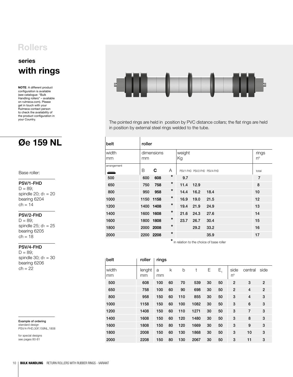### series with rings

NOTE: A different product configuration is available (see catalogue: "Bulk Handling rollers" – available on rulmeca.com). Please get in touch with your Rulmeca contact person to check the availability of the product configuration in your Country.

# Øe 159 NL

### Base roller:

PSV/1-FHD  $D = 89$ : spindle 20;  $d_1 = 20$ bearing 6204  $ch = 14$ 

### PSV/2-FHD

 $D = 89$ ; spindle  $25$ ; d<sub>1</sub> =  $25$ bearing 6205  $ch = 18$ 

### PSV/4-FHD

 $D = 89;$ spindle  $30$ ;  $d_1 = 30$ bearing 6206  $ch = 22$ 

Example of ordering standard design PSV/4-FHD,30F,159NL,1808

for special designs see pages 80-81



The pointed rings are held in position by PVC distance collars; the flat rings are held in position by external steel rings welded to the tube.

| belt             | roller    |            |          |              |      |                               |                      |
|------------------|-----------|------------|----------|--------------|------|-------------------------------|----------------------|
| width<br>mm      | mm        | dimensions |          | weight<br>Kg |      |                               | rings<br>$n^{\circ}$ |
| arrangement<br>═ | в         | С          | A        |              |      | PSV/1-FHD PSV/2-FHD PSV/4-FHD | total                |
| 500              | 600       | 608        | $\star$  | 9.7          |      |                               | $\overline{7}$       |
| 650              | 750       | 758        | $^\star$ | 11.4         | 12.9 |                               | 8                    |
| 800              | 950       | 958        | $^\star$ | 14.4         | 16.2 | 18.4                          | 10                   |
| 1000             | 1150 1158 |            | $\ast$   | 16.9         | 19.0 | 21.5                          | 12                   |
| 1200             | 1400 1408 |            | $^\star$ | 19.4         | 21.9 | 24.9                          | 13                   |
| 1400             | 1600 1608 |            | $\star$  | 21.6         | 24.3 | 27.6                          | 14                   |
| 1600             | 1800      | 1808       | $\ast$   | 23.7         | 26.7 | 30.4                          | 15                   |
| 1800             | 2000 2008 |            | $\star$  |              | 29.2 | 33.2                          | 16                   |
| 2000             | 2200 2208 |            | $\star$  |              |      | 35.9                          | 17                   |

\* in relation to the choice of base roller

| belt        | roller       | rings   |    |     |      |    |    |                     |                |                |
|-------------|--------------|---------|----|-----|------|----|----|---------------------|----------------|----------------|
| width<br>mm | lenght<br>mm | a<br>mm | k  | b   | t    | Ε  | Ε, | side<br>$n^{\circ}$ | central        | side           |
| 500         | 608          | 100     | 60 | 70  | 539  | 30 | 50 | $\overline{2}$      | 3              | $\overline{2}$ |
| 650         | 758          | 100     | 60 | 90  | 698  | 30 | 50 | $\overline{2}$      | $\overline{4}$ | $\overline{2}$ |
| 800         | 958          | 150     | 60 | 110 | 855  | 30 | 50 | 3                   | $\overline{4}$ | 3              |
| 1000        | 1158         | 150     | 60 | 100 | 1082 | 30 | 50 | 3                   | 6              | 3              |
| 1200        | 1408         | 150     | 60 | 110 | 1271 | 30 | 50 | 3                   | $\overline{7}$ | 3              |
| 1400        | 1608         | 150     | 60 | 120 | 1480 | 30 | 50 | 3                   | 8              | 3              |
| 1600        | 1808         | 150     | 80 | 120 | 1669 | 30 | 50 | 3                   | 9              | 3              |
| 1800        | 2008         | 150     | 60 | 130 | 1868 | 30 | 50 | 3                   | 10             | 3              |
| 2000        | 2208         | 150     | 80 | 130 | 2067 | 30 | 50 | 3                   | 11             | 3              |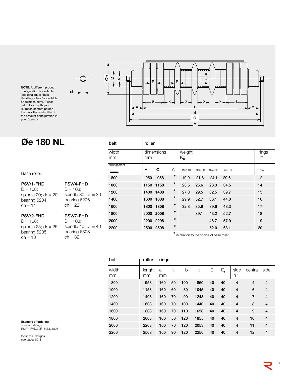**NOTE:** A different product<br>configuration is available<br>(see catalogue: "Bulk<br>Handling rollers" – available<br>on rulmeca.com). Please<br>get in touch with your<br>Rulmeca contact person<br>to check the availability of<br>the product conf

# Øe 180 NL

| Base roller:           |                        |
|------------------------|------------------------|
| PSV/1-FHD              | <b>PSV/4-FHD</b>       |
| $D = 108$              | $D = 108$              |
| spindle 20; d1 = 20    | spindle 30; $d_1 = 30$ |
| bearing 6204           | bearing 6206           |
| $ch = 14$              | $ch = 22$              |
| PSV/2-FHD              | <b>PSV/7-FHD</b>       |
| $D = 108$              | $D = 108$              |
| spindle 25; $d_1 = 25$ | spindle 40; $d_1 = 40$ |
| bearing 6205           | bearing 6308           |

| PSV/4-FHD<br>$D = 108$<br>spindle 30; $d_1 = 3$<br>bearing 6206<br>$ch = 22$ |  |
|------------------------------------------------------------------------------|--|
| PSV/7-FHD<br>$D = 108$<br>spindle 40; $d_1 = 4$<br>bearing 6308              |  |

 $ch = 32$ 

ch



| belt        | roller           |     |          |              |           |           |           |  |       |  |
|-------------|------------------|-----|----------|--------------|-----------|-----------|-----------|--|-------|--|
| width<br>mm | dimensions<br>mm |     |          | weight<br>Кg |           |           |           |  |       |  |
| arrangement | B                | С   | A        | PSV/1-FHD    | PSV/2-FHD | PSV/4-FHD | PSV/7-FHD |  | total |  |
| 800         | 950              | 958 | $\star$  | 19.9         | 21.8      | 24.1      | 29.6      |  | 12    |  |
| 1000        | 1150 1158        |     | $^\star$ | 23.5         | 25.6      | 28.3      | 34.5      |  | 14    |  |
| 1200        | 1400 1408        |     | $\ast$   | 27.0         | 29.5      | 32.5      | 39.7      |  | 15    |  |
| 1400        | 1600 1608        |     | $^\star$ | 29.9         | 32.7      | 36.1      | 44.0      |  | 16    |  |
| 1600        | 1800 1808        |     | $^\star$ | 32.8         | 35.9      | 39.6      | 48.3      |  | 17    |  |
| 1800        | 2000 2008        |     | $^\star$ |              | 39.1      | 43.2      | 52.7      |  | 18    |  |
| 2000        | 2200 2208        |     | $^\star$ |              |           | 46.7      | 57.0      |  | 19    |  |
| 2200        | 2500 2508        |     | $\star$  |              |           | 52.0      | 63.1      |  | 20    |  |
|             |                  |     | ÷        |              |           |           |           |  |       |  |

\* in relation to the choice of base roller

| belt        | roller       | rings   |    |     |      |    |    |                     |                |                |
|-------------|--------------|---------|----|-----|------|----|----|---------------------|----------------|----------------|
| width<br>mm | lenght<br>mm | a<br>mm | k  | b   | t    | Ε  | Е, | side<br>$n^{\circ}$ | central        | side           |
| 800         | 958          | 160     | 50 | 100 | 850  | 40 | 40 | $\overline{4}$      | 4              | $\overline{4}$ |
| 1000        | 1158         | 160     | 60 | 80  | 1045 | 40 | 40 | $\overline{4}$      | 6              | $\overline{4}$ |
| 1200        | 1408         | 160     | 70 | 90  | 1243 | 40 | 40 | $\overline{4}$      | $\overline{7}$ | $\overline{4}$ |
| 1400        | 1608         | 160     | 70 | 100 | 1440 | 40 | 40 | $\overline{4}$      | 8              | $\overline{4}$ |
| 1600        | 1808         | 160     | 70 | 110 | 1658 | 40 | 40 | $\overline{4}$      | 9              | $\overline{4}$ |
| 1800        | 2008         | 160     | 50 | 120 | 1855 | 40 | 40 | $\overline{4}$      | 10             | $\overline{4}$ |
| 2000        | 2208         | 160     | 70 | 120 | 2053 | 40 | 40 | $\overline{4}$      | 11             | $\overline{4}$ |
| 2200        | 2508         | 160     | 90 | 120 | 2250 | 40 | 40 | 4                   | 12             | 4              |

Example of ordering

standard design PSV/4-FHD,30F,180NL,1808

for special designs see pages 80-81

ch = 18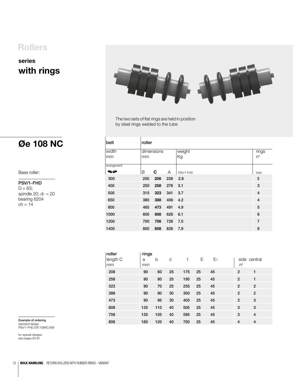## series with rings



The two sets of flat rings are held in position by steel rings welded to the tube

Base roller:

PSV/1-FHD  $D = 63;$ spindle 20;  $d_1 = 20$ bearing 6204  $ch = 14$ 

| belt        | roller     |     |     |           |                         |
|-------------|------------|-----|-----|-----------|-------------------------|
| width       | dimensions |     |     | weight    | rings                   |
| mm          | mm         |     |     | Kg        | $n^{\circ}$             |
| arrangement |            |     |     |           |                         |
| ❤           | в          | C   | A   | PSV/1-FHD | total                   |
| 300         | 200        | 208 | 226 | 2.8       | 3                       |
| 400         | 250        | 258 | 276 | 3.1       | 3                       |
| 500         | 315        | 323 | 341 | 3.7       | $\overline{\mathbf{4}}$ |
| 650         | 380        | 388 | 406 | 4.2       | $\overline{4}$          |
| 800         | 465        | 473 | 491 | 4.9       | 5                       |
| 1000        | 600        | 608 | 626 | 6.1       | 6                       |
| 1200        | 700        | 708 | 726 | 7.0       | $\overline{7}$          |
| 1400        | 800        | 808 | 826 | 7.9       | 8                       |

| roller<br>length C<br>mm | rings<br>a<br>mm | b   | C  | t   | Ε  | E <sub>1</sub> | $n^{\circ}$    | side central   |
|--------------------------|------------------|-----|----|-----|----|----------------|----------------|----------------|
| 208                      | 90               | 60  | 25 | 175 | 25 | 45             | $\overline{2}$ | 1              |
| 258                      | 90               | 80  | 25 | 195 | 25 | 45             | $\overline{2}$ | 1              |
| 323                      | 90               | 70  | 25 | 255 | 25 | 45             | $\overline{2}$ | $\overline{2}$ |
| 388                      | 90               | 90  | 30 | 300 | 25 | 45             | $\overline{2}$ | $\overline{2}$ |
| 473                      | 90               | 95  | 30 | 405 | 25 | 45             | $\overline{2}$ | 3              |
| 608                      | 135              | 110 | 40 | 505 | 25 | 45             | 3              | 3              |
| 708                      | 135              | 105 | 40 | 595 | 25 | 45             | 3              | $\overline{4}$ |
| 808                      | 180              | 120 | 40 | 700 | 25 | 45             | 4              | 4              |

Example of ordering standard design PSV/1-FHD,20F,108NC,608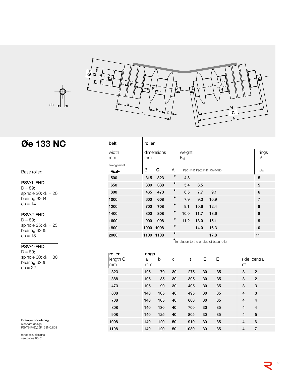



# Øe 133 NC

| Base roller:                                                                |
|-----------------------------------------------------------------------------|
| PSV/1-FHD<br>D = 89:<br>spindle 20; $d_1 = 20$<br>bearing 6204<br>$ch = 14$ |
| <b>PSV/2-FHD</b><br>$D = 89:$                                               |

spindle  $25$ ;  $d_1 = 25$ bearing 6205 ch = 18

### PSV/4-FHD

 $D = 89;$ spindle 30;  $d_1 = 30$ bearing 6206 ch = 22

Example of ordering standard design PSV/2-FHD,25F,133NC,808

for special designs see pages 80-81

| belt             | roller    |            |               |        |      |                               |                |
|------------------|-----------|------------|---------------|--------|------|-------------------------------|----------------|
| lwidth           |           | dimensions |               | weight |      |                               | rings          |
| mm               | mm        |            |               | Kg     |      |                               | $n^{\circ}$    |
| arrangement<br>❤ | В         | C          | Α             |        |      | PSV/1-FHD PSV/2-FHD PSV/4-FHD | total          |
| 500              | 315       | 323        | $^\star$      | 4.8    |      |                               | 5              |
| 650              | 380       | 388        | $\star$       | 5.4    | 6.5  |                               | 5              |
| 800              | 465       | 473        | $\star$       | 6.5    | 7.7  | 9.1                           | 6              |
| 1000             | 600       | 608        | $^\star$      | 7.9    | 9.3  | 10.9                          | $\overline{7}$ |
| 1200             | 700       | 708        | $\star$       | 9.1    | 10.6 | 12.4                          | 8              |
| 1400             | 800       | 808        | $\star$       | 10.0   | 11.7 | 13.6                          | 8              |
| 1600             | 900       | 908        | $^\star$      | 11.2   | 13.0 | 15.1                          | 9              |
| 1800             | 1000      | 1008       | $\star$       |        | 14.0 | 16.3                          | 10             |
| 2000             | 1100 1108 |            | $\star$<br>л. |        |      | 17.8                          | 11             |

\*in relation to the choice of base roller

| roller   | rings |     |    |      |    |                |                |                |
|----------|-------|-----|----|------|----|----------------|----------------|----------------|
| length C | a     | b   | C  | t    | Е  | E <sub>1</sub> |                | side central   |
| mm       | mm    |     |    |      |    |                | $n^{\circ}$    |                |
| 323      | 105   | 70  | 30 | 275  | 30 | 35             | 3              | $\overline{2}$ |
| 388      | 105   | 85  | 30 | 305  | 30 | 35             | 3              | $\overline{2}$ |
| 473      | 105   | 90  | 30 | 405  | 30 | 35             | 3              | 3              |
| 608      | 140   | 105 | 40 | 495  | 30 | 35             | 4              | 3              |
| 708      | 140   | 105 | 40 | 600  | 30 | 35             | $\overline{4}$ | $\overline{4}$ |
| 808      | 140   | 130 | 40 | 700  | 30 | 35             | $\overline{4}$ | $\overline{4}$ |
| 908      | 140   | 125 | 40 | 805  | 30 | 35             | 4              | 5              |
| 1008     | 140   | 120 | 50 | 910  | 30 | 35             | 4              | 6              |
| 1108     | 140   | 120 | 50 | 1030 | 30 | 35             | 4              | $\overline{7}$ |
|          |       |     |    |      |    |                |                |                |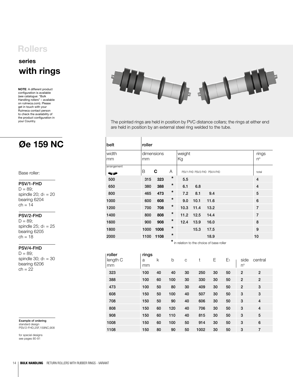### series with rings

NOTE: A different product configuration is available (see catalogue: "Bulk Handling rollers" – available on rulmeca.com). Please get in touch with your Rulmeca contact person to check the availability of the product configuration in your Country.

# Øe 159 NC

### Base roller:

PSV/1-FHD  $D = 89$ : spindle 20;  $d_1 = 20$ bearing 6204  $ch = 14$ 

### PSV/2-FHD

 $D = 89;$ spindle  $25$ ; d<sub>1</sub> =  $25$ bearing 6205  $ch = 18$ 

#### PSV/4-FHD

 $D = 89$ : spindle 30;  $d_1 = 30$ bearing 6206  $ch = 22$ 

#### Example of ordering standard design PSV/2-FHD,25F,159NC,908

for special designs

see pages 80-81



The pointed rings are held in position by PVC distance collars; the rings at either end are held in position by an external steel ring welded to the tube.

| belt             | roller     |      |            |        |      |                               |  |                |  |  |  |
|------------------|------------|------|------------|--------|------|-------------------------------|--|----------------|--|--|--|
| width            | dimensions |      |            | weight |      |                               |  |                |  |  |  |
| mm               | mm         |      |            | Кg     |      |                               |  | $n^{\circ}$    |  |  |  |
| arrangement<br>∾ | в          | C    | A          |        |      | PSV/1-FHD PSV/2-FHD PSV/4-FHD |  | total          |  |  |  |
| 500              | 315        | 323  | $^\star$   | 5.5    |      |                               |  | $\overline{4}$ |  |  |  |
| 650              | 380        | 388  | $^\star$   | 6.1    | 6.8  |                               |  | $\overline{4}$ |  |  |  |
| 800              | 465        | 473  | $^{\star}$ | 7.2    | 8.1  | 9.4                           |  | 5              |  |  |  |
| 1000             | 600        | 608  | $^\star$   | 9.0    | 10.1 | 11.6                          |  | $6\phantom{1}$ |  |  |  |
| 1200             | 700        | 708  | $^{\star}$ | 10.3   | 11.4 | 13.2                          |  | $\overline{7}$ |  |  |  |
| 1400             | 800        | 808  | $\star$    | 11.2   | 12.5 | 14.4                          |  | $\overline{7}$ |  |  |  |
| 1600             | 900        | 908  | $^\star$   | 12.4   | 13.9 | 16.0                          |  | 8              |  |  |  |
| 1800             | 1000       | 1008 | $\star$    |        | 15.3 | 17.5                          |  | 9              |  |  |  |
| 2000             | 1100       | 1108 | $^\star$   |        |      | 18.9                          |  | 10             |  |  |  |

\* in relation to the choice of base roller

| roller         | rings   |    |     |    |      |    |                |                     |                |  |
|----------------|---------|----|-----|----|------|----|----------------|---------------------|----------------|--|
| length C<br>mm | a<br>mm | k  | b   | C  | t    | Ε  | E <sub>1</sub> | side<br>$n^{\circ}$ | central        |  |
| 323            | 100     | 40 | 40  | 30 | 250  | 30 | 50             | $\overline{2}$      | $\overline{2}$ |  |
| 388            | 100     | 60 | 100 | 30 | 330  | 30 | 50             | $\overline{2}$      | $\overline{2}$ |  |
| 473            | 100     | 50 | 80  | 30 | 409  | 30 | 50             | $\overline{2}$      | 3              |  |
| 608            | 150     | 50 | 100 | 40 | 507  | 30 | 50             | 3                   | 3              |  |
| 708            | 150     | 50 | 90  | 40 | 606  | 30 | 50             | 3                   | $\overline{4}$ |  |
| 808            | 150     | 60 | 120 | 40 | 706  | 30 | 50             | 3                   | 4              |  |
| 908            | 150     | 60 | 110 | 40 | 815  | 30 | 50             | 3                   | 5              |  |
| 1008           | 150     | 60 | 100 | 50 | 914  | 30 | 50             | 3                   | 6              |  |
| 1108           | 150     | 80 | 90  | 50 | 1002 | 30 | 50             | 3                   | $\overline{7}$ |  |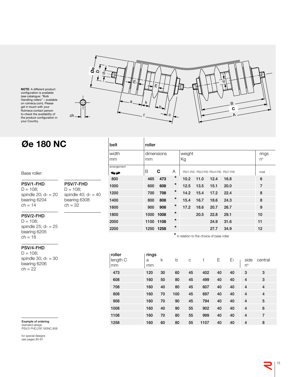

belt roller

NOTE: A different product configuration is available (see catalogue: "Bulk Handling rollers" – available on rulmeca.com). Please get in touch with your Rulmeca contact person to check the availability of the product configuration in your Country.

# Øe 180 NC

PSV/7-FHD  $D = 108;$ 

spindle 40;  $d_1 = 40$ bearing 6308  $ch = 32$ 

| width       |           | dimensions |          |      | weight      |      |                                         |                |  |
|-------------|-----------|------------|----------|------|-------------|------|-----------------------------------------|----------------|--|
| mm          | mm        |            |          | Kg   | $n^{\circ}$ |      |                                         |                |  |
| arrangement |           |            |          |      |             |      |                                         |                |  |
|             | В         | C          | A        |      |             |      | PSV/1-FHD PSV/2-FHD PSV/4-FHD PSV/7-FHD | total          |  |
| 800         | 465       | 473        | $^\star$ | 10.2 | 11.0        | 12.4 | 16.8                                    | 6              |  |
| 1000        | 600       | 608        | $\star$  | 12.5 | 13.5        | 15.1 | 20.0                                    | $\overline{7}$ |  |
| 1200        | 700       | 708        | $\ast$   | 14.2 | 15.4        | 17.2 | 22.4                                    | 8              |  |
| 1400        | 800       | 808        | $\star$  | 15.4 | 16.7        | 18.6 | 24.3                                    | 8              |  |
| 1600        | 900       | 908        | $\star$  | 17.2 | 18.6        | 20.7 | 26.7                                    | 9              |  |
| 1800        | 1000 1008 |            | $^\star$ |      | 20.5        | 22.8 | 29.1                                    | 10             |  |
| 2000        | 1100 1108 |            | $\star$  |      |             | 24.9 | 31.6                                    | 11             |  |
| 2200        | 1250 1258 |            | $\star$  |      |             | 27.7 | 34.9                                    | 12             |  |
|             |           |            |          |      |             |      |                                         |                |  |

\* in relation to the choice of base roller

| roller   | rings |    |     |    |      |    |    |                |                |
|----------|-------|----|-----|----|------|----|----|----------------|----------------|
| length C | a     | k  | b   | C  | t    | Е  | E1 | side           | central        |
| mm       | mm    |    |     |    |      |    |    | $n^{\circ}$    |                |
| 473      | 120   | 30 | 60  | 45 | 402  | 40 | 40 | 3              | 3              |
| 608      | 160   | 50 | 80  | 45 | 499  | 40 | 40 | $\overline{4}$ | 3              |
| 708      | 160   | 40 | 80  | 45 | 607  | 40 | 40 | $\overline{4}$ | $\overline{4}$ |
| 808      | 160   | 70 | 100 | 45 | 697  | 40 | 40 | 4              | 4              |
| 908      | 160   | 70 | 90  | 45 | 794  | 40 | 40 | 4              | 5              |
| 1008     | 160   | 40 | 90  | 55 | 902  | 40 | 40 | $\overline{4}$ | 6              |
| 1108     | 160   | 70 | 80  | 55 | 999  | 40 | 40 | 4              | $\overline{7}$ |
| 1258     | 160   | 60 | 80  | 55 | 1107 | 40 | 40 | 4              | 8              |

spindle 20;  $d_1 = 20$ bearing 6204  $ch = 14$ PSV/2-FHD

Base roller:

PSV/1-FHD  $D = 108;$ 

 $D = 108$ ; spindle  $25$ ;  $d_1 = 25$ bearing 6205  $ch = 18$ 

### PSV/4-FHD

 $D = 108;$ spindle  $30$ ; d<sub>1</sub> =  $30$ bearing 6206  $ch = 22$ 

Example of ordering standard design PSV/2-FHD,25F,180NC,908